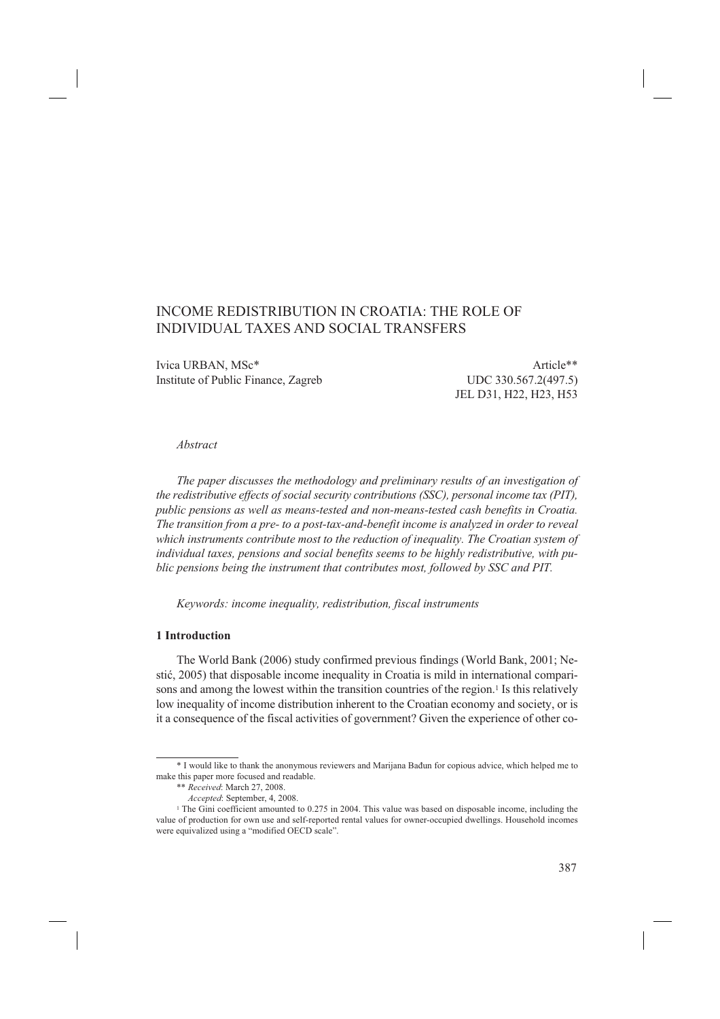# INCOME REDISTRIBUTION IN CROATIA: THE ROLE OF INDIVIDUAL TAXES AND SOCIAL TRANSFERS

Ivica URBAN, MSc<sup>\*</sup> Article<sup>\*\*</sup> Institute of Public Finance, Zagreb UDC 330.567.2(497.5)

JEL D31, H22, H23, H53

#### *Abstract*

*The paper discusses the methodology and preliminary results of an investigation of the redistributive effects of social security contributions (SSC), personal income tax (PIT), public pensions as well as means-tested and non-means-tested cash benefits in Croatia. The transition from a pre- to a post-tax-and-benefit income is analyzed in order to reveal which instruments contribute most to the reduction of inequality. The Croatian system of individual taxes, pensions and social benefits seems to be highly redistributive, with public pensions being the instrument that contributes most, followed by SSC and PIT.*

*Keywords: income inequality, redistribution, fiscal instruments*

## **1 Introduction**

The World Bank (2006) study confirmed previous findings (World Bank, 2001; Nestić, 2005) that disposable income inequality in Croatia is mild in international comparisons and among the lowest within the transition countries of the region.<sup>1</sup> Is this relatively low inequality of income distribution inherent to the Croatian economy and society, or is it a consequence of the fiscal activities of government? Given the experience of other co-

<sup>\*</sup> I would like to thank the anonymous reviewers and Marijana Bađun for copious advice, which helped me to make this paper more focused and readable.

<sup>\*\*</sup> *Received*: March 27, 2008.

*Accepted*: September, 4, 2008.

<sup>&</sup>lt;sup>1</sup> The Gini coefficient amounted to 0.275 in 2004. This value was based on disposable income, including the value of production for own use and self-reported rental values for owner-occupied dwellings. Household incomes were equivalized using a "modified OECD scale".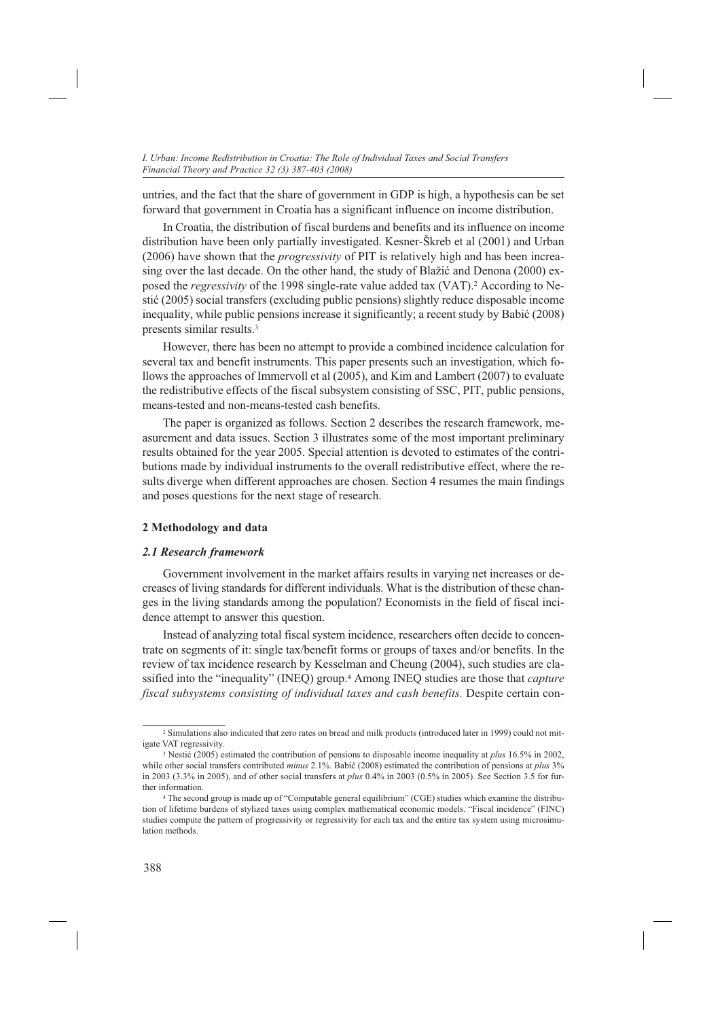untries, and the fact that the share of government in GDP is high, a hypothesis can be set forward that government in Croatia has a significant influence on income distribution.

In Croatia, the distribution of fiscal burdens and benefits and its influence on income distribution have been only partially investigated. Kesner-Škreb et al (2001) and Urban (2006) have shown that the *progressivity* of PIT is relatively high and has been increasing over the last decade. On the other hand, the study of Blažić and Denona (2000) exposed the *regressivity* of the 1998 single-rate value added tax (VAT).2 According to Nestić (2005) social transfers (excluding public pensions) slightly reduce disposable income inequality, while public pensions increase it significantly; a recent study by Babić (2008) presents similar results.3

However, there has been no attempt to provide a combined incidence calculation for several tax and benefit instruments. This paper presents such an investigation, which follows the approaches of Immervoll et al (2005), and Kim and Lambert (2007) to evaluate the redistributive effects of the fiscal subsystem consisting of SSC, PIT, public pensions, means-tested and non-means-tested cash benefits.

The paper is organized as follows. Section 2 describes the research framework, measurement and data issues. Section 3 illustrates some of the most important preliminary results obtained for the year 2005. Special attention is devoted to estimates of the contributions made by individual instruments to the overall redistributive effect, where the results diverge when different approaches are chosen. Section 4 resumes the main findings and poses questions for the next stage of research.

## **2 Methodology and data**

#### *2.1 Research framework*

Government involvement in the market affairs results in varying net increases or decreases of living standards for different individuals. What is the distribution of these changes in the living standards among the population? Economists in the field of fiscal incidence attempt to answer this question.

Instead of analyzing total fiscal system incidence, researchers often decide to concentrate on segments of it: single tax/benefit forms or groups of taxes and/or benefits. In the review of tax incidence research by Kesselman and Cheung (2004), such studies are classified into the "inequality" (INEQ) group.4 Among INEQ studies are those that *capture fiscal subsystems consisting of individual taxes and cash benefits.* Despite certain con-

<sup>2</sup> Simulations also indicated that zero rates on bread and milk products (introduced later in 1999) could not mitigate VAT regressivity.

<sup>3</sup> Nestić (2005) estimated the contribution of pensions to disposable income inequality at *plus* 16.5% in 2002, while other social transfers contributed *minus* 2.1%. Babić (2008) estimated the contribution of pensions at *plus* 3% in 2003 (3.3% in 2005), and of other social transfers at *plus* 0.4% in 2003 (0.5% in 2005). See Section 3.5 for further information

<sup>4</sup> The second group is made up of "Computable general equilibrium" (CGE) studies which examine the distribution of lifetime burdens of stylized taxes using complex mathematical economic models. "Fiscal incidence" (FINC) studies compute the pattern of progressivity or regressivity for each tax and the entire tax system using microsimulation methods.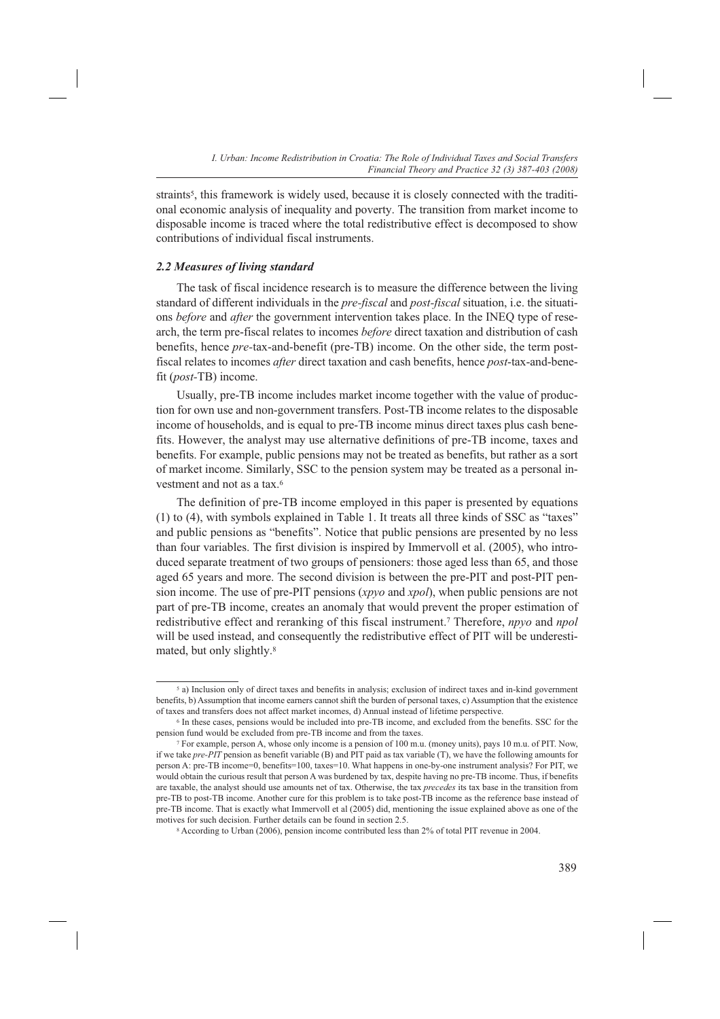straints<sup>5</sup>, this framework is widely used, because it is closely connected with the traditional economic analysis of inequality and poverty. The transition from market income to disposable income is traced where the total redistributive effect is decomposed to show contributions of individual fiscal instruments.

#### *2.2 Measures of living standard*

The task of fiscal incidence research is to measure the difference between the living standard of different individuals in the *pre-fiscal* and *post-fiscal* situation, i.e. the situations *before* and *after* the government intervention takes place. In the INEQ type of research, the term pre-fiscal relates to incomes *before* direct taxation and distribution of cash benefits, hence *pre-*tax-and-benefit (pre-TB) income. On the other side, the term postfiscal relates to incomes *after* direct taxation and cash benefits, hence *post*-tax-and-benefit (*post-*TB) income.

Usually, pre-TB income includes market income together with the value of production for own use and non-government transfers. Post-TB income relates to the disposable income of households, and is equal to pre-TB income minus direct taxes plus cash benefits. However, the analyst may use alternative definitions of pre-TB income, taxes and benefits. For example, public pensions may not be treated as benefits, but rather as a sort of market income. Similarly, SSC to the pension system may be treated as a personal investment and not as a tax.6

The definition of pre-TB income employed in this paper is presented by equations (1) to (4), with symbols explained in Table 1. It treats all three kinds of SSC as "taxes" and public pensions as "benefits". Notice that public pensions are presented by no less than four variables. The first division is inspired by Immervoll et al. (2005), who introduced separate treatment of two groups of pensioners: those aged less than 65, and those aged 65 years and more. The second division is between the pre-PIT and post-PIT pension income. The use of pre-PIT pensions (*xpyo* and *xpol*), when public pensions are not part of pre-TB income, creates an anomaly that would prevent the proper estimation of redistributive effect and reranking of this fiscal instrument.7 Therefore, *npyo* and *npol*  will be used instead, and consequently the redistributive effect of PIT will be underestimated, but only slightly.8

<sup>5</sup> a) Inclusion only of direct taxes and benefits in analysis; exclusion of indirect taxes and in-kind government benefits, b) Assumption that income earners cannot shift the burden of personal taxes, c) Assumption that the existence of taxes and transfers does not affect market incomes, d) Annual instead of lifetime perspective.

<sup>6</sup> In these cases, pensions would be included into pre-TB income, and excluded from the benefits. SSC for the pension fund would be excluded from pre-TB income and from the taxes.

<sup>7</sup> For example, person A, whose only income is a pension of 100 m.u. (money units), pays 10 m.u. of PIT. Now, if we take *pre-PIT* pension as benefit variable (B) and PIT paid as tax variable (T), we have the following amounts for person A: pre-TB income=0, benefits=100, taxes=10. What happens in one-by-one instrument analysis? For PIT, we would obtain the curious result that person A was burdened by tax, despite having no pre-TB income. Thus, if benefits are taxable, the analyst should use amounts net of tax. Otherwise, the tax *precedes* its tax base in the transition from pre-TB to post-TB income. Another cure for this problem is to take post-TB income as the reference base instead of pre-TB income. That is exactly what Immervoll et al (2005) did, mentioning the issue explained above as one of the motives for such decision. Further details can be found in section 2.5.

<sup>8</sup> According to Urban (2006), pension income contributed less than 2% of total PIT revenue in 2004.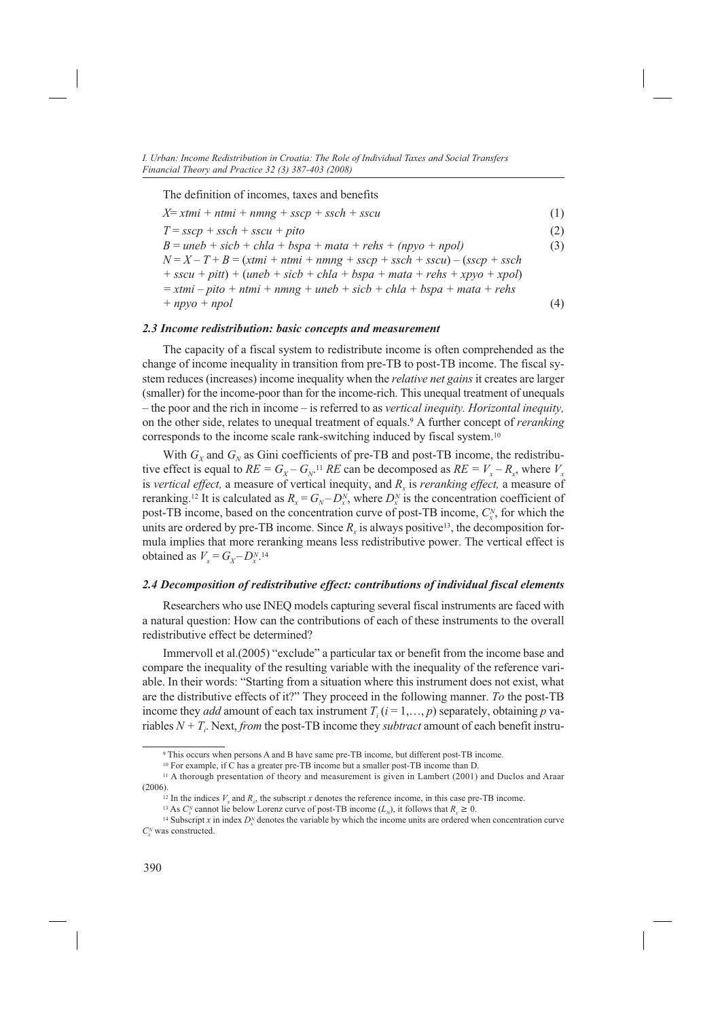The definition of incomes, taxes and benefits

| $X=xtmi + ntmi + nmng + sscp + ssch + sscu$                                | (1) |
|----------------------------------------------------------------------------|-----|
| $T = sscp + ssch + sscu + pito$                                            | (2) |
| $B =$ uneb + sic $b$ + chla + bspa + mata + rehs + (npyo + npol)           | (3) |
| $N = X - T + B = (xtmi + ntmi + nmg + sscp + ssch + sscu) - (sscp + ssch$  |     |
| $+ sscu + pitt) + (uneb + sicb + chla + bspa + mata + rehs + xpyo + xpol)$ |     |
| $=$ xtmi – pito + ntmi + nmng + uneb + sicb + chla + bspa + mata + rehs    |     |
| $+ npyo + npol$                                                            | (4) |
|                                                                            |     |

#### *2.3 Income redistribution: basic concepts and measurement*

The capacity of a fiscal system to redistribute income is often comprehended as the change of income inequality in transition from pre-TB to post-TB income. The fiscal system reduces (increases) income inequality when the *relative net gains* it creates are larger (smaller) for the income-poor than for the income-rich. This unequal treatment of unequals – the poor and the rich in income – is referred to as *vertical inequity. Horizontal inequity,* on the other side, relates to unequal treatment of equals.9 A further concept of *reranking*  corresponds to the income scale rank-switching induced by fiscal system.10

With  $G_X$  and  $G_N$  as Gini coefficients of pre-TB and post-TB income, the redistributive effect is equal to  $RE = G_X - G_{N}$ <sup>11</sup> *RE* can be decomposed as  $RE = V_X - R_X$ , where  $V_X$ is *vertical effect*, a measure of vertical inequity, and *R<sub>x</sub>* is *reranking effect*, a measure of reranking.<sup>12</sup> It is calculated as  $R_x = G_N - D_x^N$ , where  $D_x^N$  is the concentration coefficient of post-TB income, based on the concentration curve of post-TB income,  $C_x^N$ , for which the units are ordered by pre-TB income. Since  $R<sub>x</sub>$  is always positive<sup>13</sup>, the decomposition formula implies that more reranking means less redistributive power. The vertical effect is obtained as  $V_x = G_x - D_x^{N.14}$ 

## *2.4 Decomposition of redistributive effect: contributions of individual fiscal elements*

Researchers who use INEQ models capturing several fiscal instruments are faced with a natural question: How can the contributions of each of these instruments to the overall redistributive effect be determined?

Immervoll et al.(2005) "exclude" a particular tax or benefit from the income base and compare the inequality of the resulting variable with the inequality of the reference variable. In their words: "Starting from a situation where this instrument does not exist, what are the distributive effects of it?" They proceed in the following manner. *To* the post-TB income they *add* amount of each tax instrument  $T_i$  ( $i = 1,..., p$ ) separately, obtaining  $p$  variables  $N + T_i$ . Next, *from* the post-TB income they *subtract* amount of each benefit instru-

<sup>9</sup> This occurs when persons A and B have same pre-TB income, but different post-TB income.

<sup>10</sup> For example, if C has a greater pre-TB income but a smaller post-TB income than D.

<sup>11</sup> A thorough presentation of theory and measurement is given in Lambert (2001) and Duclos and Araar (2006).

<sup>&</sup>lt;sup>12</sup> In the indices  $V<sub>x</sub>$  and  $R<sub>y</sub>$ , the subscript *x* denotes the reference income, in this case pre-TB income.

<sup>&</sup>lt;sup>13</sup> As  $C_x^N$  cannot lie below Lorenz curve of post-TB income  $(L_N)$ , it follows that  $R_x \ge 0$ .

<sup>&</sup>lt;sup>13</sup> As  $C_x^N$  cannot lie below Lorenz curve of post-TB income  $(L_N)$ , it follows that  $R_x \ge 0$ .<br><sup>14</sup> Subscript x in index  $D_x^N$  denotes the variable by which the income units are ordered when concentration curve  $C_x^N$  was constructed.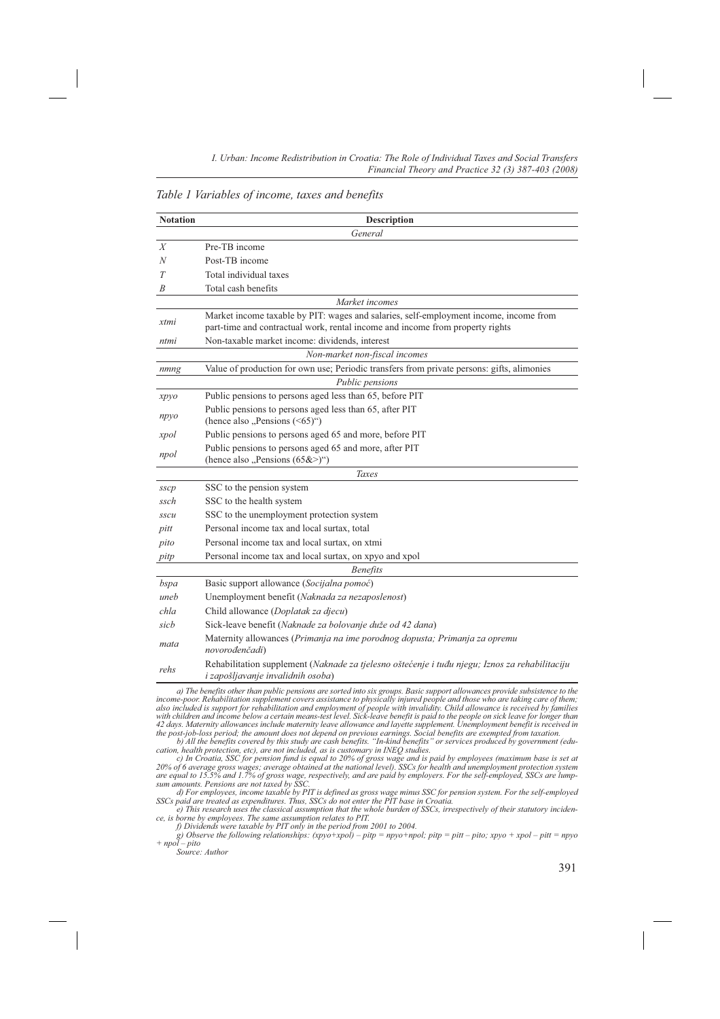*Table 1 Variables of income, taxes and benefits*

| General<br>Pre-TB income<br>X<br>Post-TB income<br>N<br>Total individual taxes<br>T                                                                                            |  |
|--------------------------------------------------------------------------------------------------------------------------------------------------------------------------------|--|
|                                                                                                                                                                                |  |
|                                                                                                                                                                                |  |
|                                                                                                                                                                                |  |
|                                                                                                                                                                                |  |
| Total cash benefits<br>B                                                                                                                                                       |  |
| Market incomes                                                                                                                                                                 |  |
| Market income taxable by PIT: wages and salaries, self-employment income, income from<br>xtmi<br>part-time and contractual work, rental income and income from property rights |  |
| Non-taxable market income: dividends, interest<br>ntmi                                                                                                                         |  |
| Non-market non-fiscal incomes                                                                                                                                                  |  |
| Value of production for own use; Periodic transfers from private persons: gifts, alimonies<br>nmng                                                                             |  |
| Public pensions                                                                                                                                                                |  |
| Public pensions to persons aged less than 65, before PIT<br>xpyo                                                                                                               |  |
| Public pensions to persons aged less than 65, after PIT<br>npyo<br>(hence also "Pensions $(\le 65)$ ")                                                                         |  |
| Public pensions to persons aged 65 and more, before PIT<br>xpol                                                                                                                |  |
| Public pensions to persons aged 65 and more, after PIT<br>npol<br>(hence also "Pensions $(65&>$ )")                                                                            |  |
| Taxes                                                                                                                                                                          |  |
| SSC to the pension system<br>$s$ s $cp$                                                                                                                                        |  |
| SSC to the health system<br>ssch                                                                                                                                               |  |
| SSC to the unemployment protection system<br>sscu                                                                                                                              |  |
| Personal income tax and local surtax, total<br>pitt                                                                                                                            |  |
| Personal income tax and local surtax, on xtmi<br>pito                                                                                                                          |  |
| Personal income tax and local surtax, on xpyo and xpol<br>pitp                                                                                                                 |  |
| <b>Benefits</b>                                                                                                                                                                |  |
| Basic support allowance (Socijalna pomoć)<br>bspa                                                                                                                              |  |
| Unemployment benefit (Naknada za nezaposlenost)<br>uneb                                                                                                                        |  |
| Child allowance (Doplatak za djecu)<br>chla                                                                                                                                    |  |
| Sick-leave benefit (Naknade za bolovanje duže od 42 dana)<br>sicb                                                                                                              |  |
| Maternity allowances (Primanja na ime porodnog dopusta; Primanja za opremu<br>mata<br>novorođenčadi)                                                                           |  |
| Rehabilitation supplement (Naknade za tjelesno oštećenje i tuđu njegu; Iznos za rehabilitaciju<br>rehs<br>i zapošljavanje invalidnih osoba)                                    |  |

a) The benefits other than public pensions are sorted into six groups. Basic support allowances provide subsistence to the income-poor. Rehabilitation supplement covers assistance to physically injured people and those wh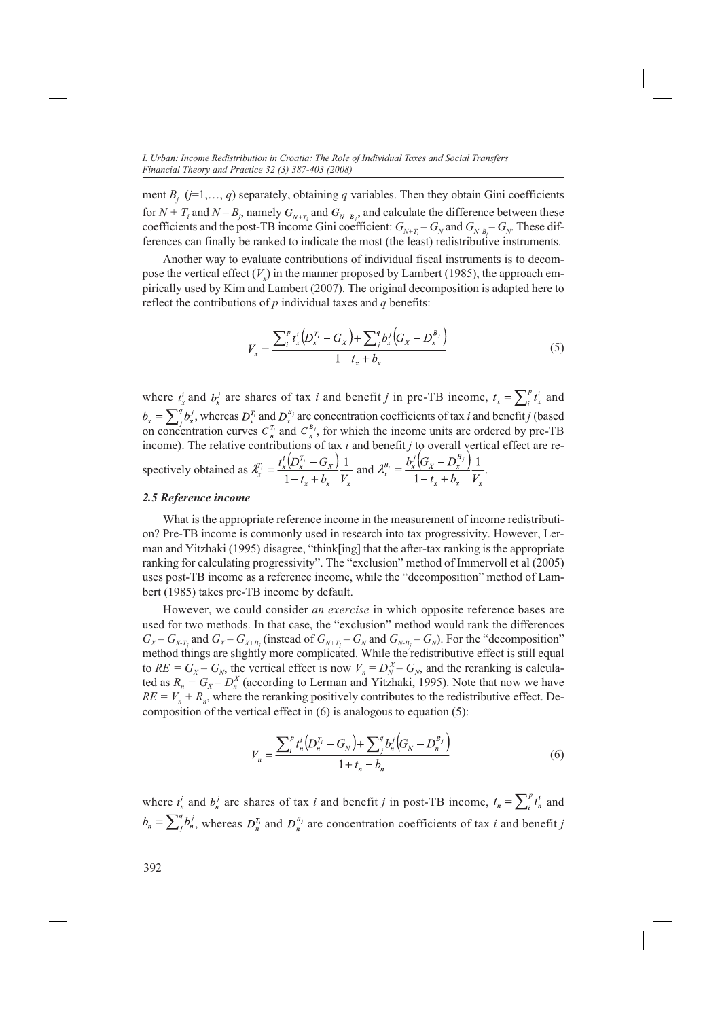ment  $B_j$  ( $j=1,..., q$ ) separately, obtaining  $q$  variables. Then they obtain Gini coefficients for  $N + T_i$  and  $N - B_j$ , namely  $G_{N+T_i}$  and  $G_{N-B_j}$ , and calculate the difference between these coefficients and the post-TB income Gini coefficient:  $G_{N+T_i} - G_N$  and  $G_{N-B_j} - G_N$ . These differences can finally be ranked to indicate the most (the least) redistributive instruments.

Another way to evaluate contributions of individual fiscal instruments is to decompose the vertical effect  $(V<sub>x</sub>)$  in the manner proposed by Lambert (1985), the approach empirically used by Kim and Lambert (2007). The original decomposition is adapted here to reflect the contributions of *p* individual taxes and *q* benefits:

$$
V_x = \frac{\sum_i^p t_x^i (D_x^{T_i} - G_x) + \sum_j^q b_x^j (G_x - D_x^{B_j})}{1 - t_x + b_x}
$$
(5)

where  $t_x^i$  and  $b_x^j$  are shares of tax *i* and benefit *j* in pre-TB income,  $t_x = \sum_i^p t_x^i$  and , whereas  $D_x^{T_i}$  and  $D_x^{B_j}$  are concentration coefficients of tax *i* and benefit *j* (based on concentration curves  $C_n^{T_i}$  and  $C_n^{B_j}$ , for which the income units are ordered by pre-TB income). The relative contributions of tax *i* and benefit *j* to overall vertical effect are respectively obtained as  $\lambda_x^{T_i} = \frac{t_x^i (D_x^{T_i} - G_x)}{1 - t_x + b_x} \frac{1}{V_x}$  and  $\lambda_x^{B_i} = \frac{b_x^j (G_x - D_x^{B_i})}{1 - t_x + b_x} \frac{1}{V_x}$ .

#### *2.5 Reference income*

What is the appropriate reference income in the measurement of income redistribution? Pre-TB income is commonly used in research into tax progressivity. However, Lerman and Yitzhaki (1995) disagree, "think[ing] that the after-tax ranking is the appropriate ranking for calculating progressivity". The "exclusion" method of Immervoll et al (2005) uses post-TB income as a reference income, while the "decomposition" method of Lambert (1985) takes pre-TB income by default.

However, we could consider *an exercise* in which opposite reference bases are used for two methods. In that case, the "exclusion" method would rank the differences  $G_X - G_{X \cdot T_i}$  and  $G_X - G_{X \cdot B_j}$  (instead of  $G_{N+T_i} - G_N$  and  $G_{N \cdot B_j} - G_N$ ). For the "decomposition" method things are slightly more complicated. While the redistributive effect is still equal to  $RE = G_X - G_N$ , the vertical effect is now  $V_n = D_N^X - G_N$ , and the reranking is calculated as  $R_n = G_X - D_n^X$  (according to Lerman and Yitzhaki, 1995). Note that now we have  $RE = V_n + R_n$ , where the reranking positively contributes to the redistributive effect. Decomposition of the vertical effect in (6) is analogous to equation (5):

$$
V_n = \frac{\sum_i^p t'_n (D_n^{T_i} - G_N) + \sum_j^q b'_n (G_N - D_n^{B_j})}{1 + t_n - b_n}
$$
(6)

where  $t_n^i$  and  $b_n^j$  are shares of tax *i* and benefit *j* in post-TB income,  $t_n = \sum_i^p t_n^i$  and  $b_n = \sum_{i=1}^{q} b_n^j$ , whereas  $D_n^{T_i}$  and  $D_n^{B_j}$  are concentration coefficients of tax *i* and benefit *j*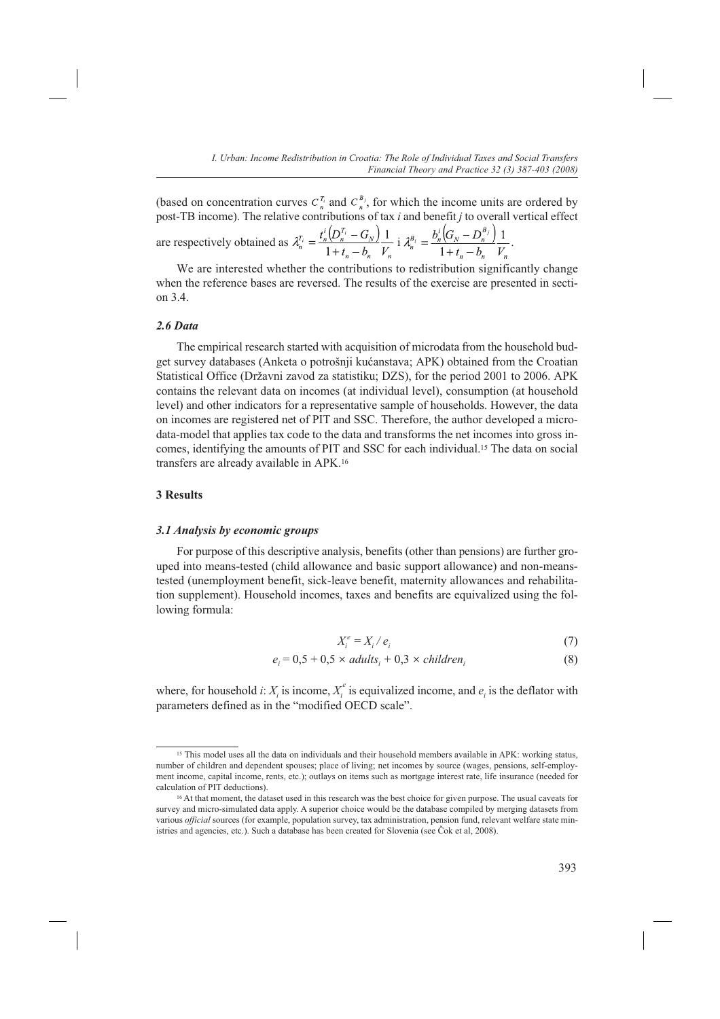(based on concentration curves  $C_n^{\tau_i}$  and  $C_n^{\mu_j}$ , for which the income units are ordered by post-TB income). The relative contributions of tax *i* and benefit *j* to overall vertical effect are respectively obtained as  $\lambda_n^{T_i} = \frac{t_n^i (D_n^{T_i} - G_N)}{1 + t_n - b_n} \frac{1}{V_n}$  i  $\lambda_n^{B_i} = \frac{b_n^i (G_N - D_n^{B_j})}{1 + t_n - b_n} \frac{1}{V_n}$ .

We are interested whether the contributions to redistribution significantly change when the reference bases are reversed. The results of the exercise are presented in section 3.4.

#### *2.6 Data*

The empirical research started with acquisition of microdata from the household budget survey databases (Anketa o potrošnji kućanstava; APK) obtained from the Croatian Statistical Office (Državni zavod za statistiku; DZS), for the period 2001 to 2006. APK contains the relevant data on incomes (at individual level), consumption (at household level) and other indicators for a representative sample of households. However, the data on incomes are registered net of PIT and SSC. Therefore, the author developed a microdata-model that applies tax code to the data and transforms the net incomes into gross incomes, identifying the amounts of PIT and SSC for each individual.15 The data on social transfers are already available in APK.16

#### **3 Results**

#### *3.1 Analysis by economic groups*

For purpose of this descriptive analysis, benefits (other than pensions) are further grouped into means-tested (child allowance and basic support allowance) and non-meanstested (unemployment benefit, sick-leave benefit, maternity allowances and rehabilitation supplement). Household incomes, taxes and benefits are equivalized using the following formula:

$$
X_i^e = X_i / e_i \tag{7}
$$

$$
e_i = 0.5 + 0.5 \times adults_i + 0.3 \times children_i \tag{8}
$$

where, for household *i*:  $X_i$  is income,  $X_i^e$  is equivalized income, and  $e_i$  is the deflator with parameters defined as in the "modified OECD scale".

<sup>15</sup> This model uses all the data on individuals and their household members available in APK: working status, number of children and dependent spouses; place of living; net incomes by source (wages, pensions, self-employment income, capital income, rents, etc.); outlays on items such as mortgage interest rate, life insurance (needed for calculation of PIT deductions).

<sup>&</sup>lt;sup>16</sup> At that moment, the dataset used in this research was the best choice for given purpose. The usual caveats for survey and micro-simulated data apply. A superior choice would be the database compiled by merging datasets from various *official* sources (for example, population survey, tax administration, pension fund, relevant welfare state ministries and agencies, etc.). Such a database has been created for Slovenia (see Čok et al, 2008).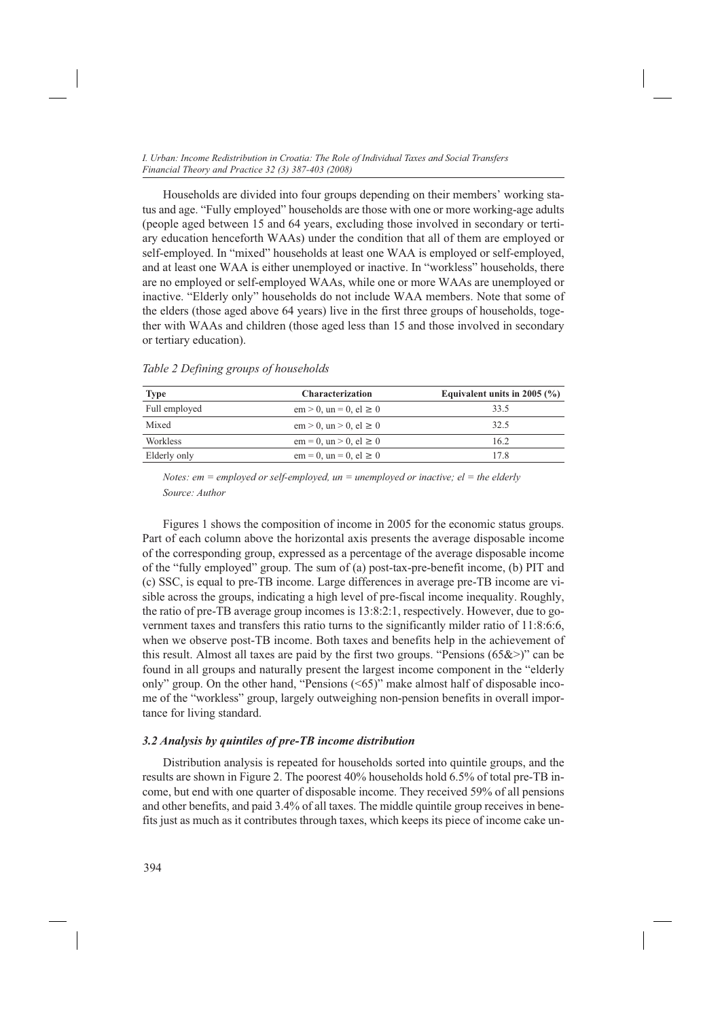Households are divided into four groups depending on their members' working status and age. "Fully employed" households are those with one or more working-age adults (people aged between 15 and 64 years, excluding those involved in secondary or tertiary education henceforth WAAs) under the condition that all of them are employed or self-employed. In "mixed" households at least one WAA is employed or self-employed, and at least one WAA is either unemployed or inactive. In "workless" households, there are no employed or self-employed WAAs, while one or more WAAs are unemployed or inactive. "Elderly only" households do not include WAA members. Note that some of the elders (those aged above 64 years) live in the first three groups of households, together with WAAs and children (those aged less than 15 and those involved in secondary or tertiary education).

| <b>Type</b>     | <b>Characterization</b>                                | Equivalent units in 2005 $(\% )$ |
|-----------------|--------------------------------------------------------|----------------------------------|
| Full employed   | $em > 0$ , $un = 0$ , $el \ge 0$                       | 33.5                             |
| Mixed           | $\text{em} > 0$ , $\text{un} > 0$ , $\text{el} \geq 0$ | 32.5                             |
| <b>Workless</b> | $em = 0$ , $un > 0$ , $el \ge 0$                       | 16.2                             |
| Elderly only    | $em = 0$ , $un = 0$ , $el \ge 0$                       | 17.8                             |

*Table 2 Defining groups of households*

*Notes: em = employed or self-employed, un = unemployed or inactive; el = the elderly Source: Author*

Figures 1 shows the composition of income in 2005 for the economic status groups. Part of each column above the horizontal axis presents the average disposable income of the corresponding group, expressed as a percentage of the average disposable income of the "fully employed" group. The sum of (a) post-tax-pre-benefit income, (b) PIT and (c) SSC, is equal to pre-TB income. Large differences in average pre-TB income are visible across the groups, indicating a high level of pre-fiscal income inequality. Roughly, the ratio of pre-TB average group incomes is 13:8:2:1, respectively. However, due to government taxes and transfers this ratio turns to the significantly milder ratio of 11:8:6:6, when we observe post-TB income. Both taxes and benefits help in the achievement of this result. Almost all taxes are paid by the first two groups. "Pensions  $(65&&>$ " can be found in all groups and naturally present the largest income component in the "elderly only" group. On the other hand, "Pensions (<65)" make almost half of disposable income of the "workless" group, largely outweighing non-pension benefits in overall importance for living standard.

#### *3.2 Analysis by quintiles of pre-TB income distribution*

Distribution analysis is repeated for households sorted into quintile groups, and the results are shown in Figure 2. The poorest 40% households hold 6.5% of total pre-TB income, but end with one quarter of disposable income. They received 59% of all pensions and other benefits, and paid 3.4% of all taxes. The middle quintile group receives in benefits just as much as it contributes through taxes, which keeps its piece of income cake un-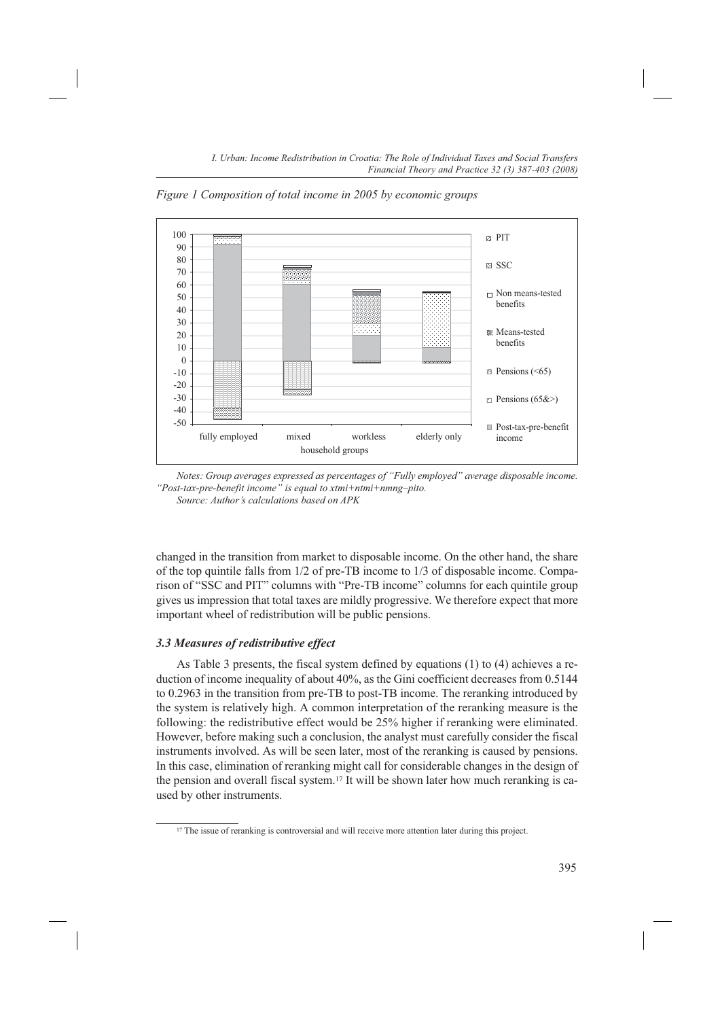100 90 80 70 60 50 40 30 20 10 0 -10  $-20$ -30 -40 -50 fully employed mixed workless elderly only household groups PIT **SSC** Non means-tested benefits **Means-tested** benefits  $\Box$  Pensions (<65)  $\Box$  Pensions (65&>) Post-tax-pre-benefit income

*Figure 1 Composition of total income in 2005 by economic groups*

*Source: Author's calculations based on APK*

changed in the transition from market to disposable income. On the other hand, the share of the top quintile falls from 1/2 of pre-TB income to 1/3 of disposable income. Comparison of "SSC and PIT" columns with "Pre-TB income" columns for each quintile group gives us impression that total taxes are mildly progressive. We therefore expect that more important wheel of redistribution will be public pensions.

#### *3.3 Measures of redistributive effect*

As Table 3 presents, the fiscal system defined by equations (1) to (4) achieves a reduction of income inequality of about 40%, as the Gini coefficient decreases from 0.5144 to 0.2963 in the transition from pre-TB to post-TB income. The reranking introduced by the system is relatively high. A common interpretation of the reranking measure is the following: the redistributive effect would be 25% higher if reranking were eliminated. However, before making such a conclusion, the analyst must carefully consider the fiscal instruments involved. As will be seen later, most of the reranking is caused by pensions. In this case, elimination of reranking might call for considerable changes in the design of the pension and overall fiscal system.17 It will be shown later how much reranking is caused by other instruments.

*Notes: Group averages expressed as percentages of "Fully employed" average disposable income. "Post-tax-pre-benefit income" is equal to xtmi+ntmi+nmng–pito.*

<sup>&</sup>lt;sup>17</sup> The issue of reranking is controversial and will receive more attention later during this project.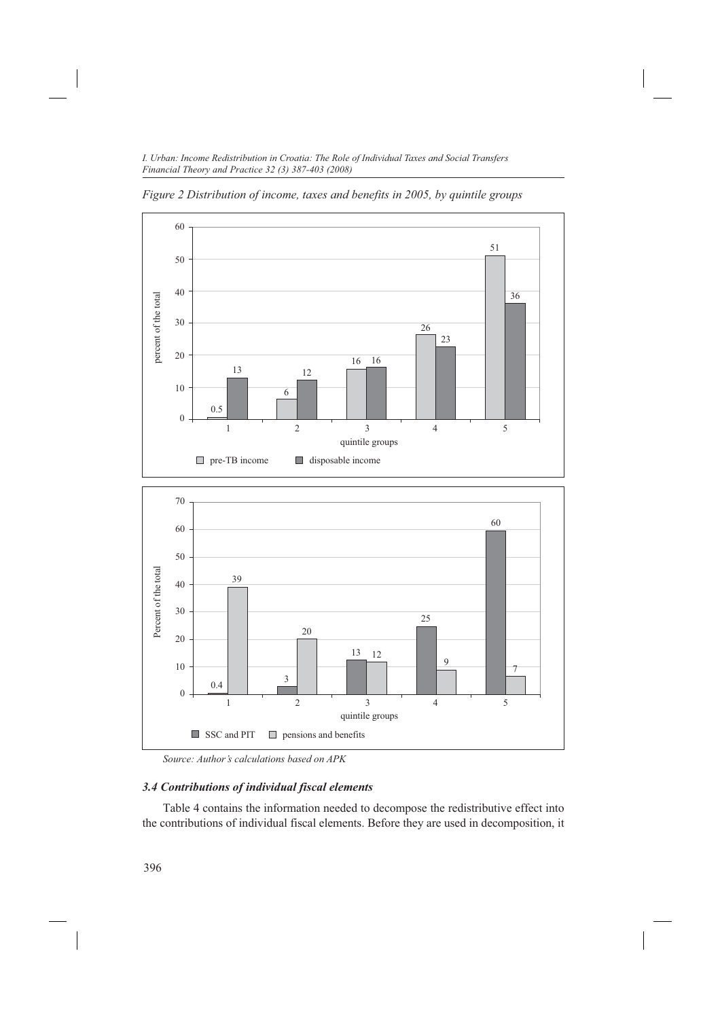

*Figure 2 Distribution of income, taxes and benefits in 2005, by quintile groups*

*Source: Author's calculations based on APK*

 $\Box$  SSC and PIT  $\Box$  pensions and benefits

# *3.4 Contributions of individual fiscal elements*

Table 4 contains the information needed to decompose the redistributive effect into the contributions of individual fiscal elements. Before they are used in decomposition, it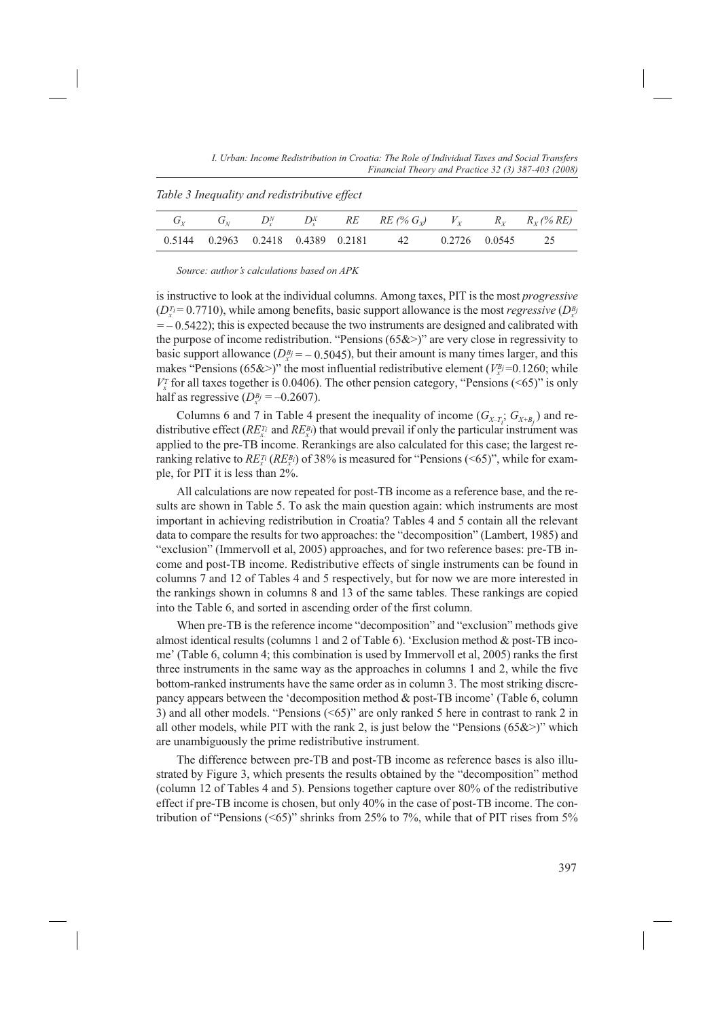*I. Urban: Income Redistribution in Croatia: The Role of Individual Taxes and Social Transfers Financial Theory and Practice 32 (3) 387-403 (2008)*

*Table 3 Inequality and redistributive effect*

|  |  | $G_Y$ $G_N$ $D_Y^N$ $D_Y^N$ RE RE (% $G_Y$ ) $V_Y$ $R_Y$ $R_Y$ (% RE) |                  |  |
|--|--|-----------------------------------------------------------------------|------------------|--|
|  |  | 0.5144 0.2963 0.2418 0.4389 0.2181 42                                 | 0.2726 0.0545 25 |  |

*Source: author's calculations based on APK*

is instructive to look at the individual columns. Among taxes, PIT is the most *progressive*  $(D_x^{T_i} = 0.7710)$ , while among benefits, basic support allowance is the most *regressive*  $(D_x^{B_j})$  $=$   $-$  0.5422); this is expected because the two instruments are designed and calibrated with the purpose of income redistribution. "Pensions  $(65&&>$ " are very close in regressivity to basic support allowance  $(D_x^B y = -0.5045)$ , but their amount is many times larger, and this makes "Pensions (65&>)" the most influential redistributive element ( $V_x^B$  = 0.1260; while  $V_x^T$  for all taxes together is 0.0406). The other pension category, "Pensions (<65)" is only half as regressive  $(D_x^{B_j} = -0.2607)$ .

Columns 6 and 7 in Table 4 present the inequality of income  $(G_{X-T_i}; G_{X+B_j})$  and redistributive effect  $(RE_x^T \text{ and } RE_x^B)$  that would prevail if only the particular instrument was applied to the pre-TB income. Rerankings are also calculated for this case; the largest reranking relative to  $RE_{x}^{T_i}$  ( $RE_{x}^{B_i}$ ) of 38% is measured for "Pensions (<65)", while for example, for PIT it is less than 2%.

All calculations are now repeated for post-TB income as a reference base, and the results are shown in Table 5. To ask the main question again: which instruments are most important in achieving redistribution in Croatia? Tables 4 and 5 contain all the relevant data to compare the results for two approaches: the "decomposition" (Lambert, 1985) and "exclusion" (Immervoll et al, 2005) approaches, and for two reference bases: pre-TB income and post-TB income. Redistributive effects of single instruments can be found in columns 7 and 12 of Tables 4 and 5 respectively, but for now we are more interested in the rankings shown in columns 8 and 13 of the same tables. These rankings are copied into the Table 6, and sorted in ascending order of the first column.

When pre-TB is the reference income "decomposition" and "exclusion" methods give almost identical results (columns 1 and 2 of Table 6). 'Exclusion method & post-TB income' (Table 6, column 4; this combination is used by Immervoll et al, 2005) ranks the first three instruments in the same way as the approaches in columns 1 and 2, while the five bottom-ranked instruments have the same order as in column 3. The most striking discrepancy appears between the 'decomposition method & post-TB income' (Table 6, column 3) and all other models. "Pensions (<65)" are only ranked 5 here in contrast to rank 2 in all other models, while PIT with the rank 2, is just below the "Pensions  $(65&&>$ " which are unambiguously the prime redistributive instrument.

The difference between pre-TB and post-TB income as reference bases is also illustrated by Figure 3, which presents the results obtained by the "decomposition" method (column 12 of Tables 4 and 5). Pensions together capture over 80% of the redistributive effect if pre-TB income is chosen, but only 40% in the case of post-TB income. The contribution of "Pensions (<65)" shrinks from 25% to 7%, while that of PIT rises from  $5\%$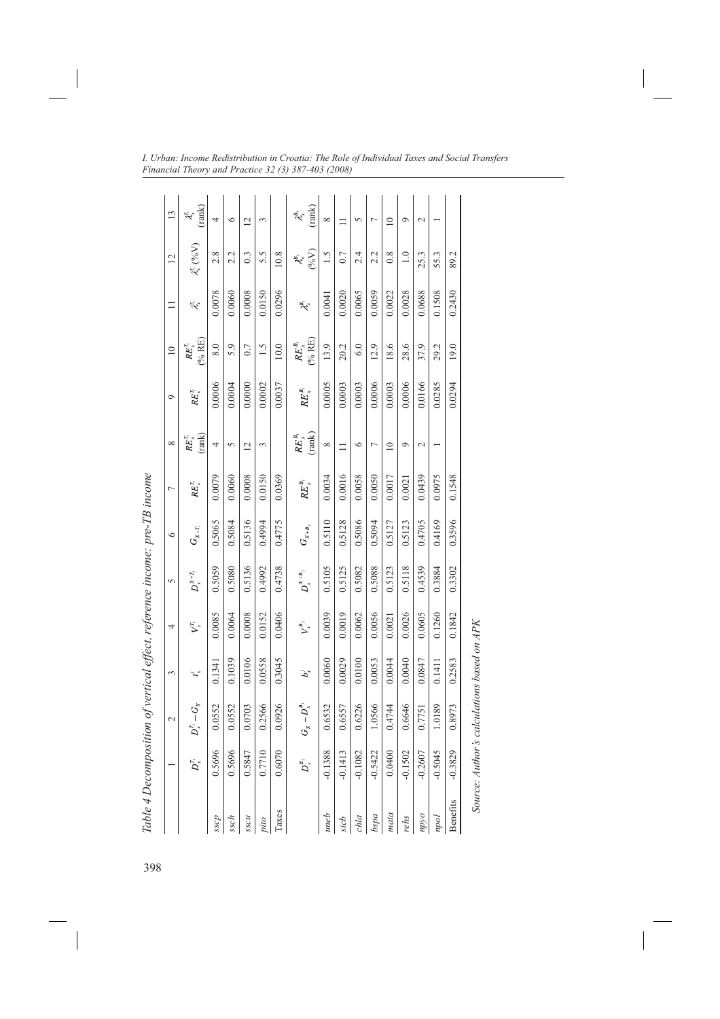|                 |                                                     | 2                 | 3              | 4                                      | 5                    | $\circ$                         | Γ                                   | $^{\circ}$                 | $\circ$      | $\approx$                           | $\equiv$                              | 12                                         | $\frac{13}{2}$                                      |
|-----------------|-----------------------------------------------------|-------------------|----------------|----------------------------------------|----------------------|---------------------------------|-------------------------------------|----------------------------|--------------|-------------------------------------|---------------------------------------|--------------------------------------------|-----------------------------------------------------|
|                 | $D_{\scriptscriptstyle x}^{\scriptscriptstyle T_i}$ | $D_x^{T_i}-G_x$   | $t_x^{\prime}$ | $\boldsymbol{V}^{\mathrm{r}}_{\times}$ | $D^{x-\tau_i}_x$     | $G_{\scriptscriptstyle{X-T_i}}$ | $\mathit{RE}^{\mathcal{I}_i}_x$     | (rank)<br>$RE_{x}^{T_{i}}$ | $RE_x^{T_i}$ | (% RE)<br>$RE_{x}^{T_{i}}$          | $\mathcal{A}_s$                       | $\lambda_{x}^{T_{i}}$ (%V)                 | $\lambda_{\vec{k}}^{\mu}$ (rank)                    |
| sscp            | 0.5696                                              | 0.0552            | 0.1341         | 0.0085                                 | 0.5059               | 0.5065                          | 0.0079                              | 4                          | 0.0006       | 8.0                                 | 0.0078                                | 2.8                                        | 4                                                   |
| ssch            | 0.5696                                              | 0.0552            | 0.1039         | 0.0064                                 | 0.5080               | 0.5084                          | 0.0060                              | 5                          | 0.0004       | 5.9                                 | 0.0060                                | 2.2                                        | $\circ$                                             |
| <b>R</b> SSCH   | 0.5847                                              | 0.0703            | 0.0106         | 0.0008                                 | 0.5136               | 0.5136                          | 0.0008                              | 12                         | 0.0000       | 0.7                                 | 0.0008                                | 0.3                                        | $\overline{2}$                                      |
| pito            | 0.7710                                              | 0.2566            | 0.0558         | 0.0152                                 | 0.4992               | 0.4994                          | 0.0150                              | 3                          | 0.0002       | 1.5                                 | 0.0150                                | 5.5                                        | 3                                                   |
| Taxes           | 0.6070                                              | 0.0926            | 0.3045         | 0.0406                                 | 0.4738               | 0.4775                          | 0.0369                              |                            | 0.0037       | 10.0                                | 0.0296                                | 10.8                                       |                                                     |
|                 | $\boldsymbol{D}_x^{B_j}$                            | $G_x - D_x^{B_i}$ | $b_{\rm x}^j$  | $V_x^{\mathcal{B}_j}$                  | $D_{x}^{^{X+B_{j}}}$ | $G_{\scriptscriptstyle X+B_j}$  | $\mathit{RE}^{\mathcal{B}_{i}}_{x}$ | $RE_{x}^{B_{i}}$ (rank)    | $RE_x^{B_i}$ | $(% RE)$<br>$\mathit{RE}^{\,B_i}_x$ | $\mathcal{A}^{\mathcal{B}_{i}}_{\mu}$ | $\mathcal{X}_{x}^{\mathbb{P}_{i}}$<br>(%V) | $\mathcal{X}_{x}^{\!\scriptscriptstyle B_i}$ (rank) |
| uneb            | $-0.1388$                                           | 0.6532            | 0.0060         | 0.0039                                 | 0.5105               | 0.5110                          | 0.0034                              | ${}^{\circ}$               | 0.0005       | 13.9                                | 0.0041                                | 1.5                                        | ${}^{\circ}$                                        |
| sich            | $-0.1413$                                           | 0.6557            | 0.0029         | 0.0019                                 | 0.5125               | 0.5128                          | 0.0016                              | $\equiv$                   | 0.0003       | 20.2                                | 0.0020                                | 0.7                                        |                                                     |
| chla            | $-0.1082$                                           | 0.6226            | 0.0100         | 0.0062                                 | 0.5082               | 0.5086                          | 0.0058                              | $\circ$                    | 0.0003       | 6.0                                 | 0.0065                                | 2.4                                        | 5                                                   |
| pasq            | $-0.5422$                                           | 1.0566            | 0.0053         | 0.0056                                 | 0.5088               | 0.5094                          | 0.0050                              | L                          | 0.0006       | 12.9                                | 0.0059                                | 2.2                                        | ↽                                                   |
| mata            | 0.0400                                              | 0.4744            | 0.0044         | 0.0021                                 | 0.5123               | 0.5127                          | 0.0017                              | $\overline{10}$            | 0.0003       | 18.6                                | 0.0022                                | 0.8                                        | $\overline{10}$                                     |
| rehs            | $-0.1502$                                           | 0.6646            | 0.0040         | 0.0026                                 | 0.5118               | 0.5123                          | 0.0021                              | $\circ$                    | 0.0006       | 28.6                                | 0.0028                                | 1.0                                        | $\circ$                                             |
| oddu            | $-0.2607$                                           | 0.7751            | 0.0847         | 0.0605                                 | 0.4539               | 0.4705                          | 0.0439                              | $\mathcal{L}$              | 0.0166       | 37.9                                | 0.0688                                | 25.3                                       | $\mathbf 2$                                         |
| podu            | $-0.5045$                                           | 1.0189            | 0.1411         | 0.1260                                 | 0.3884               | 0.4169                          | 0.0975                              |                            | 0.0285       | 29.2                                | 0.1508                                | 55.3                                       |                                                     |
| <b>Benefits</b> | $-0.3829$                                           | 0.8973            | 0.2583         | 0.1842                                 | 0.3302               | 0.3596                          | 0.1548                              |                            | 0.0294       | 19.0                                | 0.2430                                | 89.2                                       |                                                     |

> Source: Author's calculations based on APK *Source: Author's calculations based on APK*

398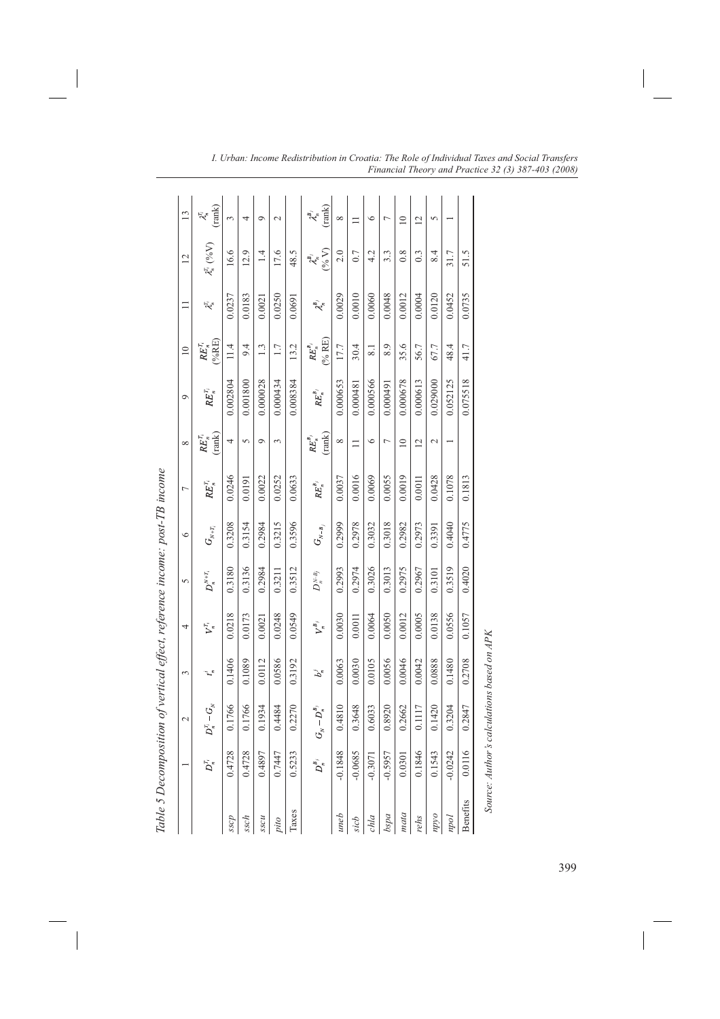|                 | $\ddot{\phantom{a}}$                                | r                                          |         | المعادل المستعمر الرائب           |                                      |                                                     |                       |                                           |                                          |                                |                                          |                                                                               |                                                                   |
|-----------------|-----------------------------------------------------|--------------------------------------------|---------|-----------------------------------|--------------------------------------|-----------------------------------------------------|-----------------------|-------------------------------------------|------------------------------------------|--------------------------------|------------------------------------------|-------------------------------------------------------------------------------|-------------------------------------------------------------------|
|                 |                                                     | 2                                          | 3       | 4                                 | 5                                    | $\circ$                                             | $\overline{ }$        | ${}^{\circ}$                              | $\circ$                                  | $\approx$                      | $\equiv$                                 | 12                                                                            | 13                                                                |
|                 | $D_{\scriptscriptstyle n}^{\scriptscriptstyle T_i}$ | $D_n^T - G_{N}$                            | $t_{n}$ | $\boldsymbol{V}_n^{\mathrm{r}_i}$ | $D_n^{{\scriptscriptstyle N}+T_i}$   | $G_{\scriptscriptstyle N+T_{\scriptscriptstyle j}}$ | $\mathit{RE}_n^{r_i}$ | $RE_{n}^{T_{i}}$ (rank)                   | $\mathit{RE}^{\mathcal{T}_l}_n$          | $RE^{r_i}_n$ (%RE)             | $\mathcal{X}_n^{\Gamma_i}$               | $\lambda_n^{T_i}$ (%V)                                                        | $\lambda_n^{\rm T}$ (rank)                                        |
| sscp            | 0.4728                                              | 0.1766                                     | 0.1406  | 0.0218                            | 0.3180                               | 0.3208                                              | 0.0246                | 4                                         | 0.002804                                 | 11.4                           | 0.0237                                   | 16.6                                                                          | ξ                                                                 |
| ssch            | 0.4728                                              | 0.1766                                     | 0.1089  | 0.0173                            | 0.3136                               | 0.3154                                              | 0.0191                | 5                                         | 0.001800                                 | 9.4                            | 0.0183                                   | 12.9                                                                          | 4                                                                 |
| <b>R</b> SSCH   | 0.4897                                              | 0.1934                                     | 0.0112  | 0.0021                            | 0.2984                               | 0.2984                                              | 0.0022                | $\circ$                                   | 0.000028                                 | 1.3                            | 0.0021                                   | 1.4                                                                           | $\circ$                                                           |
| pito            | 0.7447                                              | 0.4484                                     | 0.0586  | 0.0248                            | 0.3211                               | 0.3215                                              | 0.0252                | 3                                         | 0.000434                                 | 1.7                            | 0.0250                                   | 17.6                                                                          | $\sim$                                                            |
| Taxes           | 0.5233                                              | 0.2270                                     | 0.3192  | 0.0549                            | 0.3512                               | 0.3596                                              | 0.0633                |                                           | 0.008384                                 | 13.2                           | 0.0691                                   | 48.5                                                                          |                                                                   |
|                 | $D_n^{\mathcal{B}_j}$                               | $-D_n^{\mathcal{B}_j}$<br>$G_{\times}$     | $b_n^j$ | $\boldsymbol{V}^{B_j}_n$          | $D_n^{\scriptscriptstyle N\!-\!B_j}$ | $G_{\scriptscriptstyle N-B_j}$                      | $\mathit{RE}^{B_j}_n$ | (rank)<br>$\mathit{RE}_n^{\mathcal{B}_j}$ | $\mathit{RE}_n^{\scriptscriptstyle B_j}$ | (%RE)<br>$\mathit{RE}^{B_j}_n$ | $\mathcal{A}_n^{\scriptscriptstyle B_j}$ | $\frac{\lambda_n^{\scriptscriptstyle B_j}}{\scriptscriptstyle (96\ {\rm V})}$ | $\lambda_{\!\scriptscriptstyle R}^{\!\scriptscriptstyle B_{\!j}}$ |
| uneb            | $-0.1848$                                           | 0.4810                                     | 0.0063  | 0.0030                            | 0.2993                               | 0.2999                                              | 0.0037                | ${}^{\infty}$                             | 0.000653                                 | 17.7                           | 0.0029                                   | 2.0                                                                           | ${}^{\circ}$                                                      |
| sich            | $-0.0685$                                           | 0.3648                                     | 0.0030  | 0.0011                            | 0.2974                               | 0.2978                                              | 0.0016                |                                           | 0.000481                                 | 30.4                           | 0.0010                                   | 0.7                                                                           |                                                                   |
| chla            | $-0.3071$                                           | 0.6033                                     | 0.0105  | 0.0064                            | 0.3026                               | 0.3032                                              | 0.0069                | $\circ$                                   | 0.000566                                 | 8.1                            | 0.0060                                   | 4.2                                                                           | ৩                                                                 |
| pasq            | $-0.5957$                                           | 0.8920                                     | 0.0056  | 0.0050                            | 0.3013                               | 0.3018                                              | 0.0055                | Γ                                         | 0.000491                                 | 8.9                            | 0.0048                                   | 3.3                                                                           | ٣                                                                 |
| mata            | 0.0301                                              | 0.2662                                     | 0.0046  | 0.0012                            | 0.2975                               | 0.2982                                              | 0.0019                | $\equiv$                                  | 0.000678                                 | 35.6                           | 0.0012                                   | 0.8                                                                           | $\overline{10}$                                                   |
| rehs            | 0.1846                                              | 0.1117                                     | 0.0042  | 0.0005                            | 0.2967                               | 0.2973                                              | 0.0011                | $\overline{2}$                            | 0.000613                                 | 56.7                           | 0.0004                                   | 0.3                                                                           | $\overline{2}$                                                    |
| oddu            | 0.1543                                              | 0.1420                                     | 0.0888  | 0.0138                            | 0.3101                               | 0.3391                                              | 0.0428                | $\sim$                                    | 0.029000                                 | 67.7                           | 0.0120                                   | 8.4                                                                           | 5                                                                 |
| pod             | $-0.0242$                                           | 0.3204                                     | 0.1480  | 0.0556                            | 0.3519                               | 0.4040                                              | 0.1078                |                                           | 0.052125                                 | 48.4                           | 0.0452                                   | 31.7                                                                          |                                                                   |
| <b>Benefits</b> | 0.0116                                              | 0.2847                                     | 0.2708  | 0.1057                            | 0.4020                               | 0.4775                                              | 0.1813                |                                           | 0.075518                                 | 41.7                           | 0.0735                                   | 51.5                                                                          |                                                                   |
|                 |                                                     | Source: Author's calculations based on APK |         |                                   |                                      |                                                     |                       |                                           |                                          |                                |                                          |                                                                               |                                                                   |

Table 5 Decomposition of vertical effect, reference income: post-TB income *Table 5 Decomposition of vertical effect, reference income: post-TB income*

399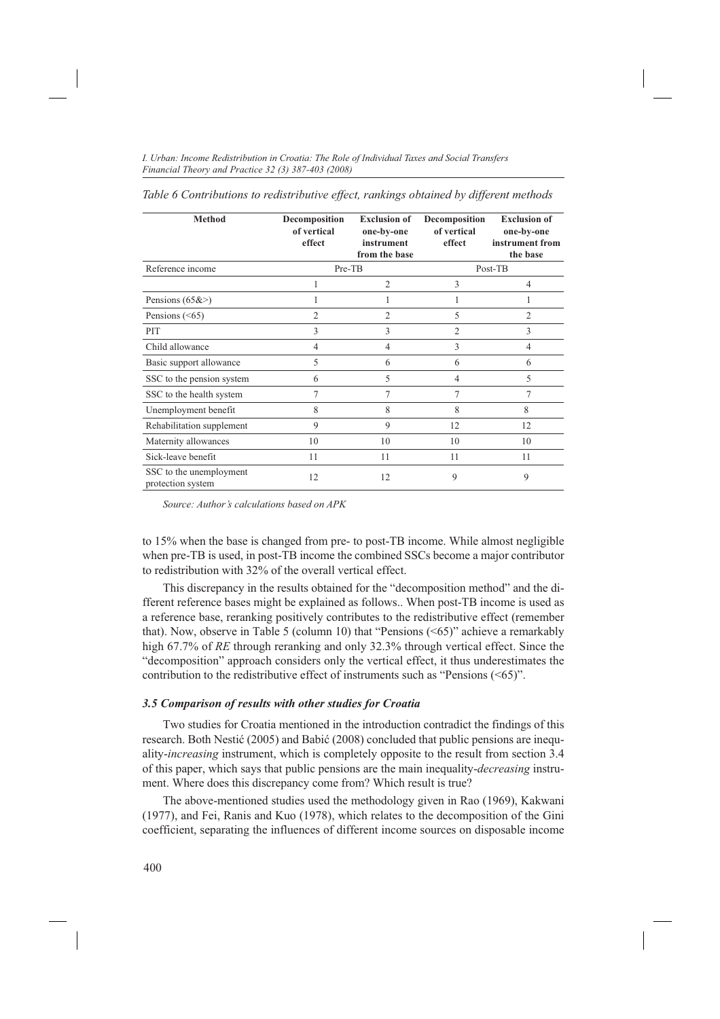*Table 6 Contributions to redistributive effect, rankings obtained by different methods*

| <b>Method</b>                                | Decomposition<br>of vertical<br>effect | <b>Exclusion of</b><br>one-by-one<br>instrument<br>from the base | Decomposition<br>of vertical<br>effect | <b>Exclusion of</b><br>one-by-one<br>instrument from<br>the base |
|----------------------------------------------|----------------------------------------|------------------------------------------------------------------|----------------------------------------|------------------------------------------------------------------|
| Reference income                             | Pre-TB                                 |                                                                  |                                        | Post-TB                                                          |
|                                              |                                        | $\overline{2}$                                                   | 3                                      | $\overline{4}$                                                   |
| Pensions $(65&>)$                            | 1                                      |                                                                  |                                        |                                                                  |
| Pensions $(<65)$                             | $\overline{c}$                         | $\overline{c}$                                                   | 5                                      | $\overline{c}$                                                   |
| PIT                                          | 3                                      | 3                                                                | $\overline{2}$                         | 3                                                                |
| Child allowance                              | 4                                      | $\overline{4}$                                                   | 3                                      | $\overline{4}$                                                   |
| Basic support allowance                      | 5                                      | 6                                                                | 6                                      | 6                                                                |
| SSC to the pension system                    | 6                                      | 5                                                                | 4                                      | 5                                                                |
| SSC to the health system                     | 7                                      | 7                                                                | 7                                      | 7                                                                |
| Unemployment benefit                         | 8                                      | 8                                                                | 8                                      | 8                                                                |
| Rehabilitation supplement                    | 9                                      | 9                                                                | 12                                     | 12                                                               |
| Maternity allowances                         | 10                                     | 10                                                               | 10                                     | 10                                                               |
| Sick-leave benefit                           | 11                                     | 11                                                               | 11                                     | 11                                                               |
| SSC to the unemployment<br>protection system | 12                                     | 12                                                               | 9                                      | 9                                                                |

*Source: Author's calculations based on APK*

to 15% when the base is changed from pre- to post-TB income. While almost negligible when pre-TB is used, in post-TB income the combined SSCs become a major contributor to redistribution with 32% of the overall vertical effect.

This discrepancy in the results obtained for the "decomposition method" and the different reference bases might be explained as follows.. When post-TB income is used as a reference base, reranking positively contributes to the redistributive effect (remember that). Now, observe in Table 5 (column 10) that "Pensions (<65)" achieve a remarkably high 67.7% of *RE* through reranking and only 32.3% through vertical effect. Since the "decomposition" approach considers only the vertical effect, it thus underestimates the contribution to the redistributive effect of instruments such as "Pensions  $(\leq 65)$ ".

#### *3.5 Comparison of results with other studies for Croatia*

Two studies for Croatia mentioned in the introduction contradict the findings of this research. Both Nestić (2005) and Babić (2008) concluded that public pensions are inequality-*increasing* instrument, which is completely opposite to the result from section 3.4 of this paper, which says that public pensions are the main inequality-*decreasing* instrument. Where does this discrepancy come from? Which result is true?

The above-mentioned studies used the methodology given in Rao (1969), Kakwani (1977), and Fei, Ranis and Kuo (1978), which relates to the decomposition of the Gini coefficient, separating the influences of different income sources on disposable income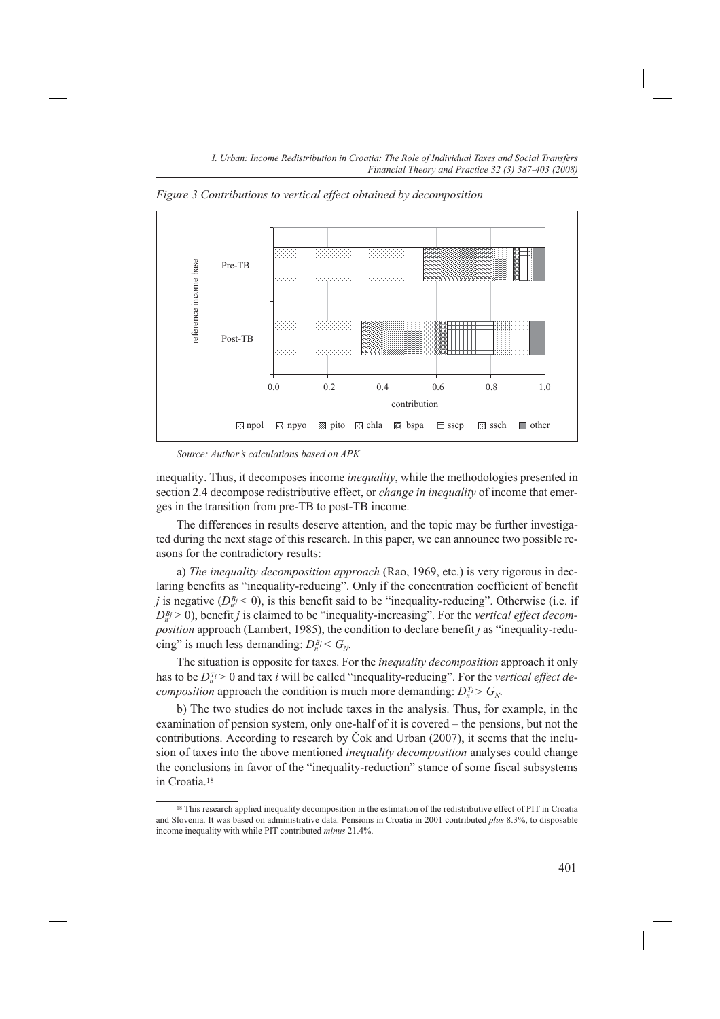

*Figure 3 Contributions to vertical effect obtained by decomposition*

*Source: Author's calculations based on APK*

inequality. Thus, it decomposes income *inequality*, while the methodologies presented in section 2.4 decompose redistributive effect, or *change in inequality* of income that emerges in the transition from pre-TB to post-TB income.

The differences in results deserve attention, and the topic may be further investigated during the next stage of this research. In this paper, we can announce two possible reasons for the contradictory results:

a) *The inequality decomposition approach* (Rao, 1969, etc.) is very rigorous in declaring benefits as "inequality-reducing". Only if the concentration coefficient of benefit *j* is negative ( $D_n^{B_j}$  < 0), is this benefit said to be "inequality-reducing". Otherwise (i.e. if  $D_n^{B_j} > 0$ ), benefit *j* is claimed to be "inequality-increasing". For the *vertical effect decomposition* approach (Lambert, 1985), the condition to declare benefit *j* as "inequality-reducing" is much less demanding:  $D_n^{B_j} < G_N$ .

The situation is opposite for taxes. For the *inequality decomposition* approach it only has to be  $D_n^{T_i} > 0$  and tax *i* will be called "inequality-reducing". For the *vertical effect decomposition* approach the condition is much more demanding:  $D_n^{T_i} > G_N$ .

b) The two studies do not include taxes in the analysis. Thus, for example, in the examination of pension system, only one-half of it is covered – the pensions, but not the contributions. According to research by Čok and Urban (2007), it seems that the inclusion of taxes into the above mentioned *inequality decomposition* analyses could change the conclusions in favor of the "inequality-reduction" stance of some fiscal subsystems in Croatia.18

<sup>&</sup>lt;sup>18</sup> This research applied inequality decomposition in the estimation of the redistributive effect of PIT in Croatia and Slovenia. It was based on administrative data. Pensions in Croatia in 2001 contributed *plus* 8.3%, to disposable income inequality with while PIT contributed *minus* 21.4%.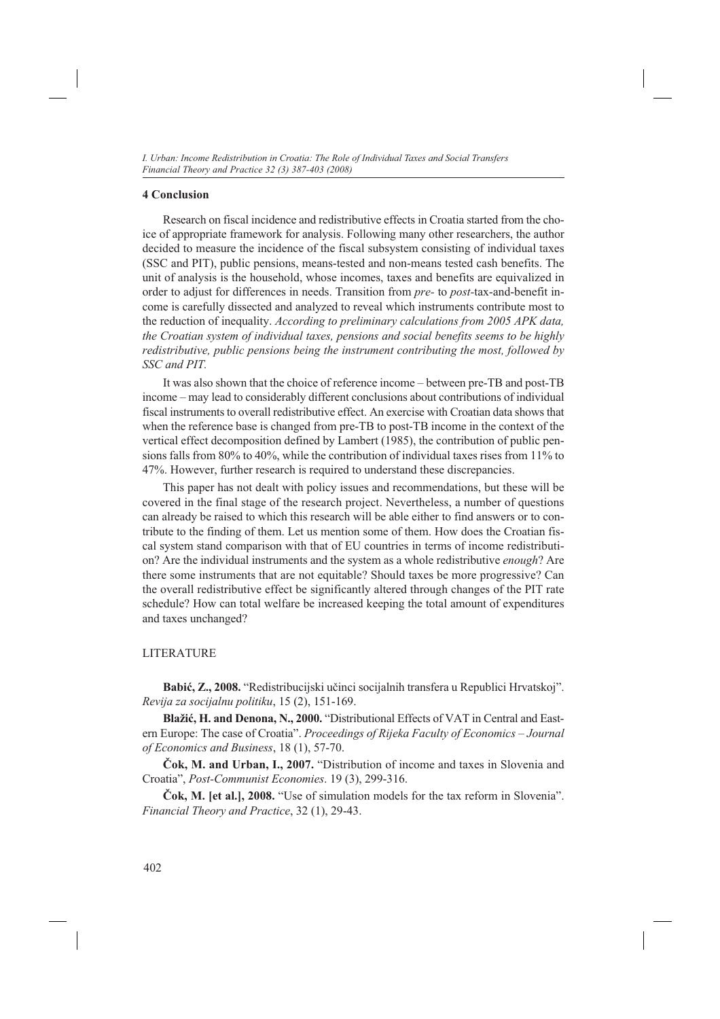#### **4 Conclusion**

Research on fiscal incidence and redistributive effects in Croatia started from the choice of appropriate framework for analysis. Following many other researchers, the author decided to measure the incidence of the fiscal subsystem consisting of individual taxes (SSC and PIT), public pensions, means-tested and non-means tested cash benefits. The unit of analysis is the household, whose incomes, taxes and benefits are equivalized in order to adjust for differences in needs. Transition from *pre-* to *post-*tax-and-benefit income is carefully dissected and analyzed to reveal which instruments contribute most to the reduction of inequality. *According to preliminary calculations from 2005 APK data, the Croatian system of individual taxes, pensions and social benefits seems to be highly redistributive, public pensions being the instrument contributing the most, followed by SSC and PIT.*

It was also shown that the choice of reference income – between pre-TB and post-TB income – may lead to considerably different conclusions about contributions of individual fiscal instruments to overall redistributive effect. An exercise with Croatian data shows that when the reference base is changed from pre-TB to post-TB income in the context of the vertical effect decomposition defined by Lambert (1985), the contribution of public pensions falls from 80% to 40%, while the contribution of individual taxes rises from 11% to 47%. However, further research is required to understand these discrepancies.

This paper has not dealt with policy issues and recommendations, but these will be covered in the final stage of the research project. Nevertheless, a number of questions can already be raised to which this research will be able either to find answers or to contribute to the finding of them. Let us mention some of them. How does the Croatian fiscal system stand comparison with that of EU countries in terms of income redistribution? Are the individual instruments and the system as a whole redistributive *enough*? Are there some instruments that are not equitable? Should taxes be more progressive? Can the overall redistributive effect be significantly altered through changes of the PIT rate schedule? How can total welfare be increased keeping the total amount of expenditures and taxes unchanged?

#### LITERATURE

**Babić, Z., 2008.** "Redistribucijski učinci socijalnih transfera u Republici Hrvatskoj". *Revija za socijalnu politiku*, 15 (2), 151-169.

**Blažić, H. and Denona, N., 2000.** "Distributional Effects of VAT in Central and Eastern Europe: The case of Croatia". *Proceedings of Rijeka Faculty of Economics – Journal of Economics and Business*, 18 (1), 57-70.

**Čok, M. and Urban, I., 2007.** "Distribution of income and taxes in Slovenia and Croatia", *Post-Communist Economies*. 19 (3), 299-316.

**Čok, M. [et al.], 2008.** "Use of simulation models for the tax reform in Slovenia". *Financial Theory and Practice*, 32 (1), 29-43.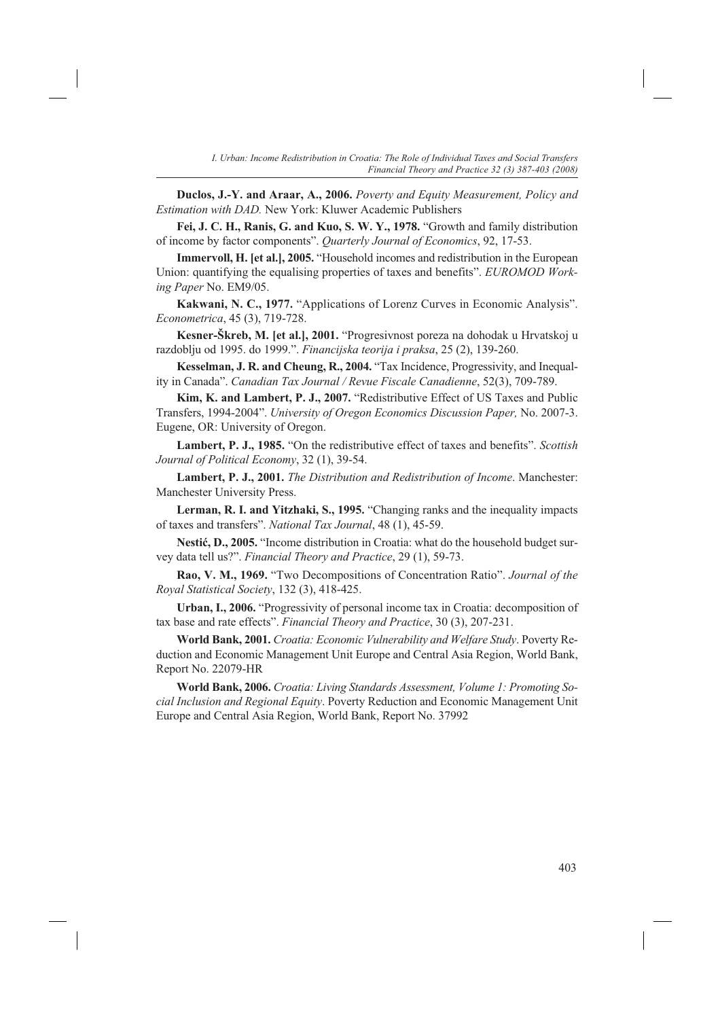**Duclos, J.-Y. and Araar, A., 2006.** *Poverty and Equity Measurement, Policy and Estimation with DAD.* New York: Kluwer Academic Publishers

**Fei, J. C. H., Ranis, G. and Kuo, S. W. Y., 1978.** "Growth and family distribution of income by factor components". *Quarterly Journal of Economics*, 92, 17-53.

**Immervoll, H. [et al.], 2005.** "Household incomes and redistribution in the European Union: quantifying the equalising properties of taxes and benefits". *EUROMOD Working Paper* No. EM9/05.

**Kakwani, N. C., 1977.** "Applications of Lorenz Curves in Economic Analysis". *Econometrica*, 45 (3), 719-728.

**Kesner-Škreb, M. [et al.], 2001.** "Progresivnost poreza na dohodak u Hrvatskoj u razdoblju od 1995. do 1999.". *Financijska teorija i praksa*, 25 (2), 139-260.

**Kesselman, J. R. and Cheung, R., 2004.** "Tax Incidence, Progressivity, and Inequality in Canada". *Canadian Tax Journal / Revue Fiscale Canadienne*, 52(3), 709-789.

**Kim, K. and Lambert, P. J., 2007.** "Redistributive Effect of US Taxes and Public Transfers, 1994-2004". *University of Oregon Economics Discussion Paper,* No. 2007-3. Eugene, OR: University of Oregon.

**Lambert, P. J., 1985.** "On the redistributive effect of taxes and benefits". *Scottish Journal of Political Economy*, 32 (1), 39-54.

**Lambert, P. J., 2001.** *The Distribution and Redistribution of Income*. Manchester: Manchester University Press.

**Lerman, R. I. and Yitzhaki, S., 1995.** "Changing ranks and the inequality impacts of taxes and transfers". *National Tax Journal*, 48 (1), 45-59.

**Nestić, D., 2005.** "Income distribution in Croatia: what do the household budget survey data tell us?". *Financial Theory and Practice*, 29 (1), 59-73.

**Rao, V. M., 1969.** "Two Decompositions of Concentration Ratio". *Journal of the Royal Statistical Society*, 132 (3), 418-425.

**Urban, I., 2006.** "Progressivity of personal income tax in Croatia: decomposition of tax base and rate effects". *Financial Theory and Practice*, 30 (3), 207-231.

**World Bank, 2001.** *Croatia: Economic Vulnerability and Welfare Study*. Poverty Reduction and Economic Management Unit Europe and Central Asia Region, World Bank, Report No. 22079-HR

**World Bank, 2006.** *Croatia: Living Standards Assessment, Volume 1: Promoting Social Inclusion and Regional Equity*. Poverty Reduction and Economic Management Unit Europe and Central Asia Region, World Bank, Report No. 37992

403